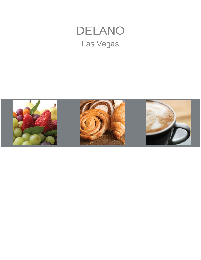# DELANO Las Vegas

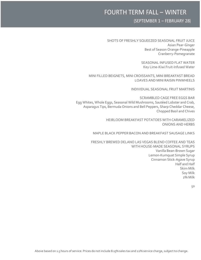## FOURTH TERM FALL – WINTER

#### (SEPTEMBER 1 – FEBRUARY 28)

#### SHOTS OF FRESHLY SQUEEZED SEASONAL FRUIT JUICE Asian Pear-Ginger Best of Season Orange-Pineapple Cranberry-Pomegranate

SEASONAL INFUSED FLAT WATER Key Lime-Kiwi Fruit-Infused Water

MINI FILLED BEIGNETS, MINI CROISSANTS, MINI BREAKFAST BREAD LOAVES AND MINI RAISIN PINWHEELS

INDIVIDUAL SEASONAL FRUIT MARTINIS

SCRAMBLED CAGE FREE EGGS BAR Egg Whites, Whole Eggs, Seasonal Wild Mushrooms, Sautéed Lobster and Crab, Asparagus Tips, Bermuda Onions and Bell Peppers, Sharp Cheddar Cheese, Chopped Basil and Chives

> HEIRLOOM BREAKFAST POTATOES WITH CARAMELIZED ONIONS AND HERBS

MAPLE BLACK PEPPER BACON AND BREAKFAST SAUSAGE LINKS

FRESHLY BREWED DELANO LAS VEGAS BLEND COFFEE AND TEAS WITH HOUSE-MADE SEASONAL SYRUPS Vanilla Bean-Brown Sugar Lemon-Kumquat Simple Syrup Cinnamon Stick-Agave Syrup Half and Half Skim Milk Soy Milk 2% Milk

50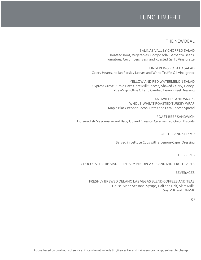### LUNCH BUFFET

#### THE NEWDEAL

SALINAS VALLEY CHOPPED SALAD Roasted Root, Vegetables, Gorgonzola, Garbanzo Beans, Tomatoes, Cucumbers, Basil and Roasted Garlic Vinaigrette

FINGERLING POTATO SALAD Celery Hearts, Italian Parsley Leaves and White Truffle Oil Vinaigrette

YELLOW AND RED WATERMELON SALAD Cypress Grove Purple Haze Goat Milk Cheese, Shaved Celery, Honey, Extra-Virgin Olive Oil and Candied Lemon Peel Dressing

> SANDWICHES AND WRAPS WHOLE-WHEAT ROASTED TURKEY WRAP Maple Black Pepper Bacon, Dates and Feta Cheese Spread

ROAST BEEF SANDWICH Horseradish Mayonnaise and Baby Upland Cress on Caramelized Onion Biscuits

LOBSTER AND SHRIMP

Served in Lettuce Cups with a Lemon-Caper Dressing

DESSERTS

CHOCOLATE CHIP MADELEINES, MINI CUPCAKES AND MINI FRUIT TARTS

BEVERAGES

FRESHLY BREWED DELANO LAS VEGAS BLEND COFFEES AND TEAS House-Made Seasonal Syrups, Half and Half, Skim Milk, Soy Milk and 2% Milk

58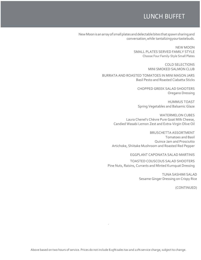### LUNCH BUFFET

NewMoonisanarrayof smallplatesanddelectablebites that spawnsharingand conversation,while tantalizingyourtastebuds.

> NEW MOON SMALL PLATES SERVED FAMILY STYLE Choose Four Family-Style Small Plates

> > COLD SELECTIONS MINI SMOKED SALMON CLUB

BURRATA AND ROASTED TOMATOES IN MINI MASON JARS Basil Pesto and Roasted Ciabatta Sticks

> CHOPPED GREEK SALAD SHOOTERS Oregano Dressing

> HUMMUS TOAST Spring Vegetables and Balsamic Glaze

WATERMELON CUBES Laura Chenel's Chèvre Pure Goat Milk Cheese, Candied Wasabi Lemon Zest and Extra-Virgin Olive Oil

BRUSCHETTA ASSORTMENT Tomatoes and Basil Quince Jam and Prosciutto Artichoke, Shiitake Mushroom and Roasted Red Pepper

EGGPLANT CAPONATA SALAD MARTINIS

TOASTED COUSCOUS SALAD SHOOTERS Pine Nuts, Raisins, Currants and Minted Kumquat Dressing

> TUNA SASHIMI SALAD Sesame Ginger Dressing on Crispy Rice

> > (CONTINUED)

.